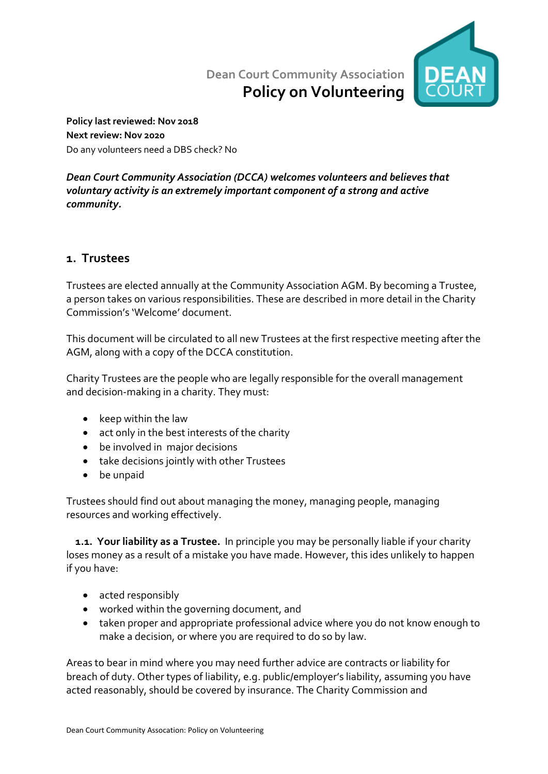# Dean Court Community Association Policy on Volunteering



Policy last reviewed: Nov 2018 Next review: Nov 2020 Do any volunteers need a DBS check? No

#### Dean Court Community Association (DCCA) welcomes volunteers and believes that voluntary activity is an extremely important component of a strong and active community.

## 1. Trustees

Trustees are elected annually at the Community Association AGM. By becoming a Trustee, a person takes on various responsibilities. These are described in more detail in the Charity Commission's 'Welcome' document.

This document will be circulated to all new Trustees at the first respective meeting after the AGM, along with a copy of the DCCA constitution.

Charity Trustees are the people who are legally responsible for the overall management and decision-making in a charity. They must:

- $\bullet$  keep within the law
- act only in the best interests of the charity
- be involved in major decisions
- take decisions jointly with other Trustees
- be unpaid

Trustees should find out about managing the money, managing people, managing resources and working effectively.

1.1. Your liability as a Trustee. In principle you may be personally liable if your charity loses money as a result of a mistake you have made. However, this ides unlikely to happen if you have:

- acted responsibly
- worked within the governing document, and
- taken proper and appropriate professional advice where you do not know enough to make a decision, or where you are required to do so by law.

Areas to bear in mind where you may need further advice are contracts or liability for breach of duty. Other types of liability, e.g. public/employer's liability, assuming you have acted reasonably, should be covered by insurance. The Charity Commission and